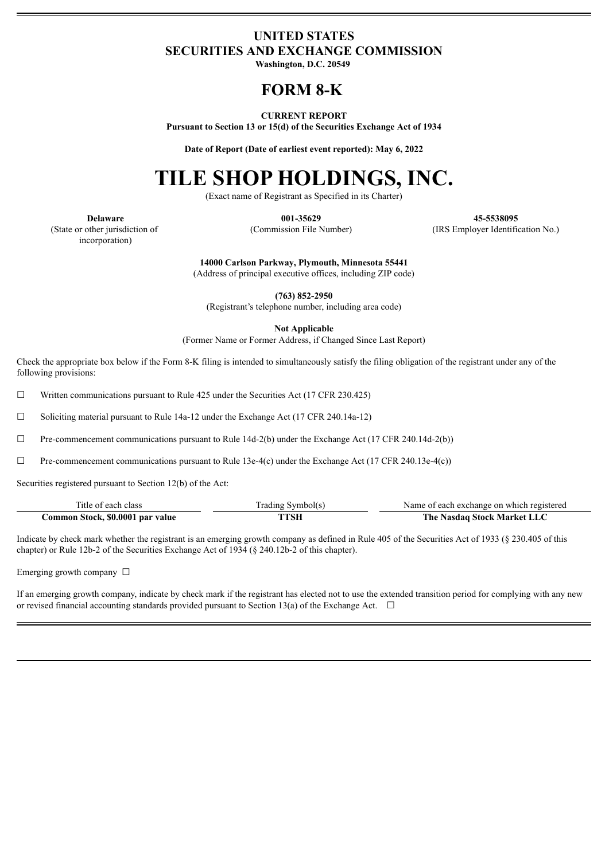### **UNITED STATES SECURITIES AND EXCHANGE COMMISSION**

**Washington, D.C. 20549**

# **FORM 8-K**

#### **CURRENT REPORT**

**Pursuant to Section 13 or 15(d) of the Securities Exchange Act of 1934**

**Date of Report (Date of earliest event reported): May 6, 2022**

# **TILE SHOP HOLDINGS, INC.**

(Exact name of Registrant as Specified in its Charter)

**Delaware 001-35629 45-5538095** (Commission File Number) (IRS Employer Identification No.)

(State or other jurisdiction of incorporation)

**14000 Carlson Parkway, Plymouth, Minnesota 55441** (Address of principal executive offices, including ZIP code)

**(763) 852-2950**

(Registrant's telephone number, including area code)

**Not Applicable**

(Former Name or Former Address, if Changed Since Last Report)

Check the appropriate box below if the Form 8-K filing is intended to simultaneously satisfy the filing obligation of the registrant under any of the following provisions:

 $\Box$  Written communications pursuant to Rule 425 under the Securities Act (17 CFR 230.425)

☐ Soliciting material pursuant to Rule 14a-12 under the Exchange Act (17 CFR 240.14a-12)

 $\Box$  Pre-commencement communications pursuant to Rule 14d-2(b) under the Exchange Act (17 CFR 240.14d-2(b))

 $\Box$  Pre-commencement communications pursuant to Rule 13e-4(c) under the Exchange Act (17 CFR 240.13e-4(c))

Securities registered pursuant to Section 12(b) of the Act:

| Title of each class              | Trading Symbol(s) | Name of each exchange on which registered |
|----------------------------------|-------------------|-------------------------------------------|
| Common Stock, \$0.0001 par value | TTSH              | The Nasdaq Stock Market LLC               |

Indicate by check mark whether the registrant is an emerging growth company as defined in Rule 405 of the Securities Act of 1933 (§ 230.405 of this chapter) or Rule 12b-2 of the Securities Exchange Act of 1934 (§ 240.12b-2 of this chapter).

Emerging growth company  $\Box$ 

If an emerging growth company, indicate by check mark if the registrant has elected not to use the extended transition period for complying with any new or revised financial accounting standards provided pursuant to Section 13(a) of the Exchange Act.  $\Box$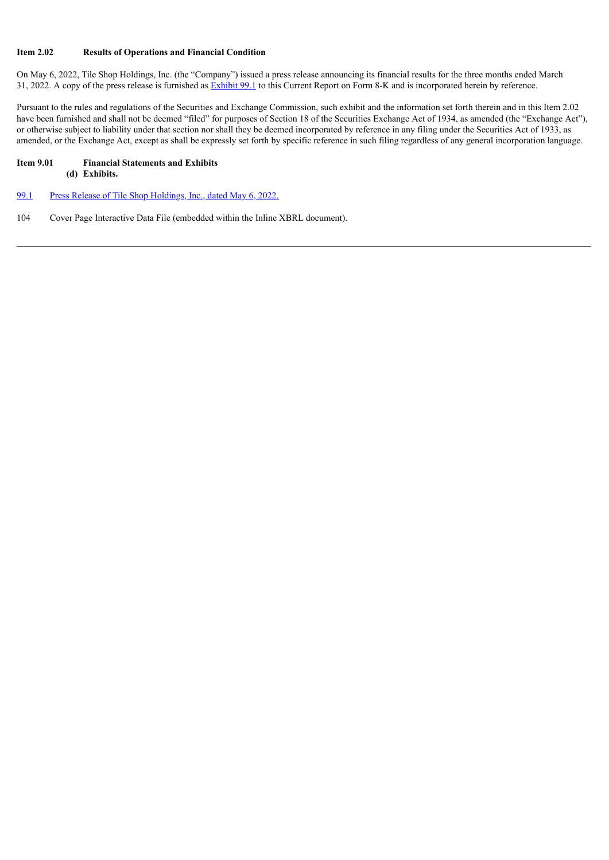#### **Item 2.02 Results of Operations and Financial Condition**

On May 6, 2022, Tile Shop Holdings, Inc. (the "Company") issued a press release announcing its financial results for the three months ended March 31, 2022. A copy of the press release is furnished as [Exhibit](#page-3-0) 99.1 to this Current Report on Form 8-K and is incorporated herein by reference.

Pursuant to the rules and regulations of the Securities and Exchange Commission, such exhibit and the information set forth therein and in this Item 2.02 have been furnished and shall not be deemed "filed" for purposes of Section 18 of the Securities Exchange Act of 1934, as amended (the "Exchange Act"), or otherwise subject to liability under that section nor shall they be deemed incorporated by reference in any filing under the Securities Act of 1933, as amended, or the Exchange Act, except as shall be expressly set forth by specific reference in such filing regardless of any general incorporation language.

## **Item 9.01 Financial Statements and Exhibits**

**(d) Exhibits.**

[99.1](#page-3-0) Press Release of Tile Shop [Holdings,](#page-3-0) Inc., dated May 6, 2022.

104 Cover Page Interactive Data File (embedded within the Inline XBRL document).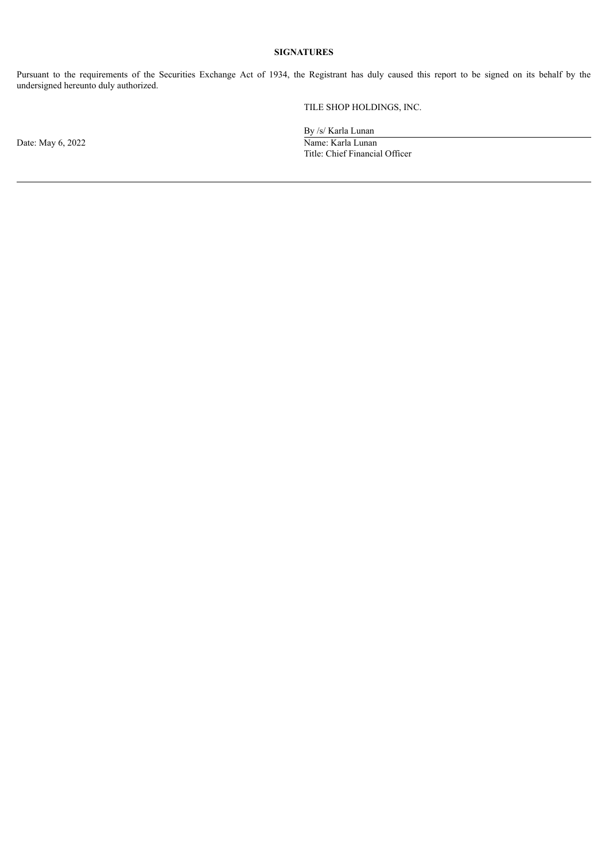#### **SIGNATURES**

Pursuant to the requirements of the Securities Exchange Act of 1934, the Registrant has duly caused this report to be signed on its behalf by the undersigned hereunto duly authorized.

TILE SHOP HOLDINGS, INC.

By /s/ Karla Lunan

Title: Chief Financial Officer

Date: May 6, 2022 Name: Karla Lunan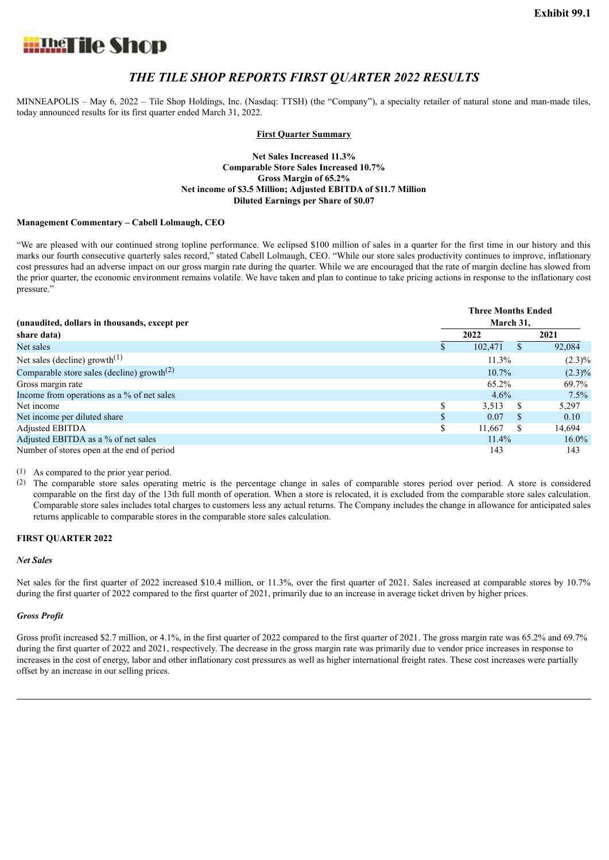<span id="page-3-0"></span>

# *THE TILE SHOP REPORTS FIRST QUARTER 2022 RESULTS*

MINNEAPOLIS – May 6, 2022 – Tile Shop Holdings, Inc. (Nasdaq: TTSH) (the "Company"), a specialty retailer of natural stone and man-made tiles, today announced results for its first quarter ended March 31, 2022.

#### **First Quarter Summary**

#### **Net Sales Increased 11.3% Comparable Store Sales Increased 10.7% Gross Margin of 65.2% Net income of \$3.5 Million; Adjusted EBITDA of \$11.7 Million Diluted Earnings per Share of \$0.07**

#### **Management Commentary – Cabell Lolmaugh, CEO**

"We are pleased with our continued strong topline performance. We eclipsed \$100 million of sales in a quarter for the first time in our history and this marks our fourth consecutive quarterly sales record," stated Cabell Lolmaugh, CEO. "While our store sales productivity continues to improve, inflationary cost pressures had an adverse impact on our gross margin rate during the quarter. While we are encouraged that the rate of margin decline has slowed from the prior quarter, the economic environment remains volatile. We have taken and plan to continue to take pricing actions in response to the inflationary cost pressure."

| (unaudited, dollars in thousands, except per           |   | <b>Three Months Ended</b><br>March 31, |           |  |  |  |
|--------------------------------------------------------|---|----------------------------------------|-----------|--|--|--|
| share data)                                            |   | 2022                                   | 2021      |  |  |  |
| Net sales                                              |   | 102.471<br>ж                           | 92,084    |  |  |  |
| Net sales (decline) growth <sup><math>(1)</math></sup> |   | 11.3%                                  | $(2.3)\%$ |  |  |  |
| Comparable store sales (decline) growth <sup>(2)</sup> |   | $10.7\%$                               | $(2.3)\%$ |  |  |  |
| Gross margin rate                                      |   | $65.2\%$                               | 69.7%     |  |  |  |
| Income from operations as a % of net sales             |   | $4.6\%$                                | $7.5\%$   |  |  |  |
| Net income                                             |   | 3,513<br>-S                            | 5,297     |  |  |  |
| Net income per diluted share                           | ъ | 0.07<br>S.                             | 0.10      |  |  |  |
| <b>Adjusted EBITDA</b>                                 | S | 11.667<br>S                            | 14,694    |  |  |  |
| Adjusted EBITDA as a % of net sales                    |   | $11.4\%$                               | $16.0\%$  |  |  |  |
| Number of stores open at the end of period             |   | 143                                    | 143       |  |  |  |

#### (1) As compared to the prior year period.

(2) The comparable store sales operating metric is the percentage change in sales of comparable stores period over period. A store is considered comparable on the first day of the 13th full month of operation. When a store is relocated, it is excluded from the comparable store sales calculation. Comparable store sales includes total charges to customers less any actual returns. The Company includes the change in allowance for anticipated sales returns applicable to comparable stores in the comparable store sales calculation.

#### **FIRST QUARTER 2022**

#### *Net Sales*

Net sales for the first quarter of 2022 increased \$10.4 million, or 11.3%, over the first quarter of 2021. Sales increased at comparable stores by 10.7% during the first quarter of 2022 compared to the first quarter of 2021, primarily due to an increase in average ticket driven by higher prices.

#### *Gross Profit*

Gross profit increased \$2.7 million, or 4.1%, in the first quarter of 2022 compared to the first quarter of 2021. The gross margin rate was 65.2% and 69.7% during the first quarter of 2022 and 2021, respectively. The decrease in the gross margin rate was primarily due to vendor price increases in response to increases in the cost of energy, labor and other inflationary cost pressures as well as higher international freight rates. These cost increases were partially offset by an increase in our selling prices.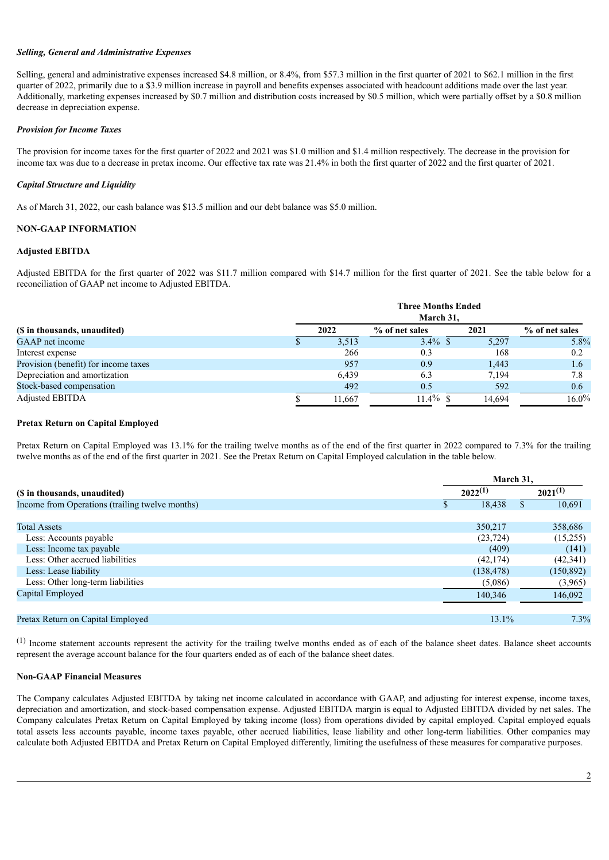#### *Selling, General and Administrative Expenses*

Selling, general and administrative expenses increased \$4.8 million, or 8.4%, from \$57.3 million in the first quarter of 2021 to \$62.1 million in the first quarter of 2022, primarily due to a \$3.9 million increase in payroll and benefits expenses associated with headcount additions made over the last year. Additionally, marketing expenses increased by \$0.7 million and distribution costs increased by \$0.5 million, which were partially offset by a \$0.8 million decrease in depreciation expense.

#### *Provision for Income Taxes*

The provision for income taxes for the first quarter of 2022 and 2021 was \$1.0 million and \$1.4 million respectively. The decrease in the provision for income tax was due to a decrease in pretax income. Our effective tax rate was 21.4% in both the first quarter of 2022 and the first quarter of 2021.

#### *Capital Structure and Liquidity*

As of March 31, 2022, our cash balance was \$13.5 million and our debt balance was \$5.0 million.

#### **NON-GAAP INFORMATION**

#### **Adjusted EBITDA**

Adjusted EBITDA for the first quarter of 2022 was \$11.7 million compared with \$14.7 million for the first quarter of 2021. See the table below for a reconciliation of GAAP net income to Adjusted EBITDA.

|                                      | <b>Three Months Ended</b> |                |        |                |  |  |  |
|--------------------------------------|---------------------------|----------------|--------|----------------|--|--|--|
| (\$ in thousands, unaudited)         | March 31,                 |                |        |                |  |  |  |
|                                      | 2022                      | % of net sales | 2021   | % of net sales |  |  |  |
| GAAP net income                      | 3,513                     | $3.4\%$ \$     | 5,297  | 5.8%           |  |  |  |
| Interest expense                     | 266                       | 0.3            | 168    | 0.2            |  |  |  |
| Provision (benefit) for income taxes | 957                       | 0.9            | 1.443  | 1.6            |  |  |  |
| Depreciation and amortization        | 6,439                     | 6.3            | 7,194  | 7.8            |  |  |  |
| Stock-based compensation             | 492                       | 0.5            | 592    | 0.6            |  |  |  |
| Adjusted EBITDA                      | 11.667                    | $11.4\%$ \,    | 14.694 | $16.0\%$       |  |  |  |

#### **Pretax Return on Capital Employed**

Pretax Return on Capital Employed was 13.1% for the trailing twelve months as of the end of the first quarter in 2022 compared to 7.3% for the trailing twelve months as of the end of the first quarter in 2021. See the Pretax Return on Capital Employed calculation in the table below.

|                                                 |              | March 31,    |            |  |  |
|-------------------------------------------------|--------------|--------------|------------|--|--|
| (\$ in thousands, unaudited)                    | $2022^{(1)}$ | $2021^{(1)}$ |            |  |  |
| Income from Operations (trailing twelve months) | 18,438       |              | 10,691     |  |  |
|                                                 |              |              |            |  |  |
| <b>Total Assets</b>                             | 350,217      |              | 358,686    |  |  |
| Less: Accounts payable                          | (23, 724)    |              | (15,255)   |  |  |
| Less: Income tax payable                        | (409)        |              | (141)      |  |  |
| Less: Other accrued liabilities                 | (42, 174)    |              | (42, 341)  |  |  |
| Less: Lease liability                           | (138, 478)   |              | (150, 892) |  |  |
| Less: Other long-term liabilities               | (5,086)      |              | (3,965)    |  |  |
| Capital Employed                                | 140,346      |              | 146,092    |  |  |
|                                                 |              |              |            |  |  |
| Pretax Return on Capital Employed               | $13.1\%$     |              | 7.3%       |  |  |

 $<sup>(1)</sup>$  Income statement accounts represent the activity for the trailing twelve months ended as of each of the balance sheet dates. Balance sheet accounts</sup> represent the average account balance for the four quarters ended as of each of the balance sheet dates.

#### **Non-GAAP Financial Measures**

The Company calculates Adjusted EBITDA by taking net income calculated in accordance with GAAP, and adjusting for interest expense, income taxes, depreciation and amortization, and stock-based compensation expense. Adjusted EBITDA margin is equal to Adjusted EBITDA divided by net sales. The Company calculates Pretax Return on Capital Employed by taking income (loss) from operations divided by capital employed. Capital employed equals total assets less accounts payable, income taxes payable, other accrued liabilities, lease liability and other long-term liabilities. Other companies may calculate both Adjusted EBITDA and Pretax Return on Capital Employed differently, limiting the usefulness of these measures for comparative purposes.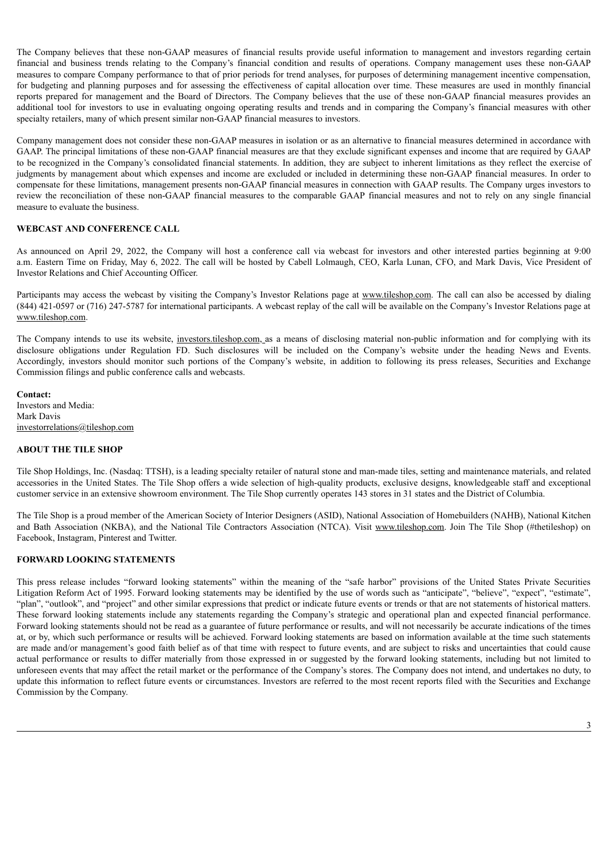The Company believes that these non-GAAP measures of financial results provide useful information to management and investors regarding certain financial and business trends relating to the Company's financial condition and results of operations. Company management uses these non-GAAP measures to compare Company performance to that of prior periods for trend analyses, for purposes of determining management incentive compensation, for budgeting and planning purposes and for assessing the effectiveness of capital allocation over time. These measures are used in monthly financial reports prepared for management and the Board of Directors. The Company believes that the use of these non-GAAP financial measures provides an additional tool for investors to use in evaluating ongoing operating results and trends and in comparing the Company's financial measures with other specialty retailers, many of which present similar non-GAAP financial measures to investors.

Company management does not consider these non-GAAP measures in isolation or as an alternative to financial measures determined in accordance with GAAP. The principal limitations of these non-GAAP financial measures are that they exclude significant expenses and income that are required by GAAP to be recognized in the Company's consolidated financial statements. In addition, they are subject to inherent limitations as they reflect the exercise of judgments by management about which expenses and income are excluded or included in determining these non-GAAP financial measures. In order to compensate for these limitations, management presents non-GAAP financial measures in connection with GAAP results. The Company urges investors to review the reconciliation of these non-GAAP financial measures to the comparable GAAP financial measures and not to rely on any single financial measure to evaluate the business.

#### **WEBCAST AND CONFERENCE CALL**

As announced on April 29, 2022, the Company will host a conference call via webcast for investors and other interested parties beginning at 9:00 a.m. Eastern Time on Friday, May 6, 2022. The call will be hosted by Cabell Lolmaugh, CEO, Karla Lunan, CFO, and Mark Davis, Vice President of Investor Relations and Chief Accounting Officer.

Participants may access the webcast by visiting the Company's Investor Relations page at www.tileshop.com. The call can also be accessed by dialing (844) 421-0597 or (716) 247-5787 for international participants. A webcast replay of the call will be available on the Company's Investor Relations page at www.tileshop.com.

The Company intends to use its website, investors.tileshop.com, as a means of disclosing material non-public information and for complying with its disclosure obligations under Regulation FD. Such disclosures will be included on the Company's website under the heading News and Events. Accordingly, investors should monitor such portions of the Company's website, in addition to following its press releases, Securities and Exchange Commission filings and public conference calls and webcasts.

**Contact:** Investors and Media: Mark Davis investorrelations@tileshop.com

#### **ABOUT THE TILE SHOP**

Tile Shop Holdings, Inc. (Nasdaq: TTSH), is a leading specialty retailer of natural stone and man-made tiles, setting and maintenance materials, and related accessories in the United States. The Tile Shop offers a wide selection of high-quality products, exclusive designs, knowledgeable staff and exceptional customer service in an extensive showroom environment. The Tile Shop currently operates 143 stores in 31 states and the District of Columbia.

The Tile Shop is a proud member of the American Society of Interior Designers (ASID), National Association of Homebuilders (NAHB), National Kitchen and Bath Association (NKBA), and the National Tile Contractors Association (NTCA). Visit www.tileshop.com. Join The Tile Shop (#thetileshop) on Facebook, Instagram, Pinterest and Twitter.

#### **FORWARD LOOKING STATEMENTS**

This press release includes "forward looking statements" within the meaning of the "safe harbor" provisions of the United States Private Securities Litigation Reform Act of 1995. Forward looking statements may be identified by the use of words such as "anticipate", "believe", "expect", "estimate", "plan", "outlook", and "project" and other similar expressions that predict or indicate future events or trends or that are not statements of historical matters. These forward looking statements include any statements regarding the Company's strategic and operational plan and expected financial performance. Forward looking statements should not be read as a guarantee of future performance or results, and will not necessarily be accurate indications of the times at, or by, which such performance or results will be achieved. Forward looking statements are based on information available at the time such statements are made and/or management's good faith belief as of that time with respect to future events, and are subject to risks and uncertainties that could cause actual performance or results to differ materially from those expressed in or suggested by the forward looking statements, including but not limited to unforeseen events that may affect the retail market or the performance of the Company's stores. The Company does not intend, and undertakes no duty, to update this information to reflect future events or circumstances. Investors are referred to the most recent reports filed with the Securities and Exchange Commission by the Company.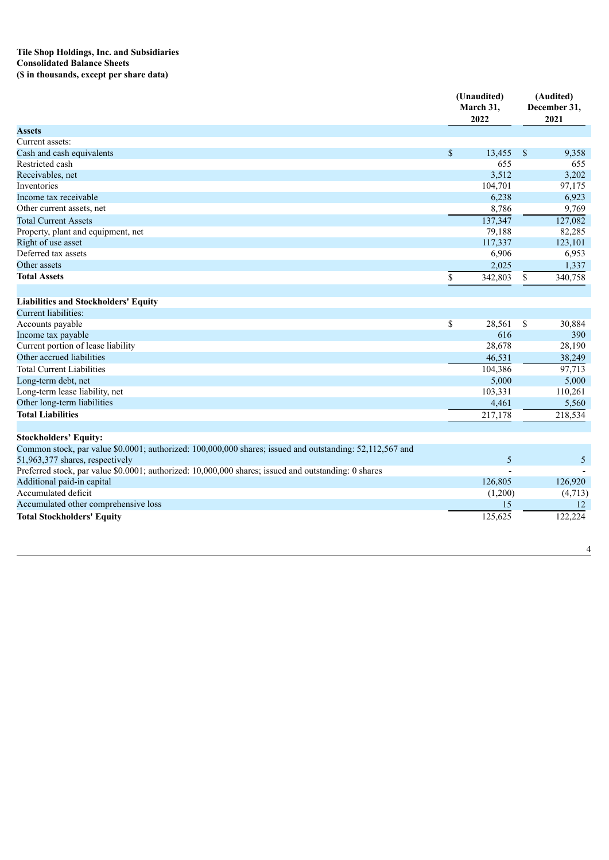#### **Tile Shop Holdings, Inc. and Subsidiaries Consolidated Balance Sheets (\$ in thousands, except per share data)**

|                                                                                                          | (Unaudited)<br>March 31,<br>2022 |                |                    | (Audited)<br>December 31,<br>2021 |  |
|----------------------------------------------------------------------------------------------------------|----------------------------------|----------------|--------------------|-----------------------------------|--|
| <b>Assets</b>                                                                                            |                                  |                |                    |                                   |  |
| Current assets:                                                                                          |                                  |                |                    |                                   |  |
| Cash and cash equivalents                                                                                | \$                               | 13,455         | $\mathbf{\hat{S}}$ | 9,358                             |  |
| Restricted cash                                                                                          |                                  | 655            |                    | 655                               |  |
| Receivables, net                                                                                         |                                  | 3,512          |                    | 3,202                             |  |
| Inventories                                                                                              |                                  | 104,701        |                    | 97,175                            |  |
| Income tax receivable                                                                                    |                                  | 6,238          |                    | 6,923                             |  |
| Other current assets, net                                                                                |                                  | 8,786          |                    | 9,769                             |  |
| <b>Total Current Assets</b>                                                                              |                                  | 137,347        |                    | 127,082                           |  |
| Property, plant and equipment, net                                                                       |                                  | 79,188         |                    | 82,285                            |  |
| Right of use asset                                                                                       |                                  | 117,337        |                    | 123,101                           |  |
| Deferred tax assets                                                                                      |                                  | 6,906          |                    | 6,953                             |  |
| Other assets                                                                                             |                                  | 2,025          |                    | 1,337                             |  |
| <b>Total Assets</b>                                                                                      | \$                               | 342,803        | \$                 | 340,758                           |  |
| <b>Liabilities and Stockholders' Equity</b>                                                              |                                  |                |                    |                                   |  |
| Current liabilities:                                                                                     |                                  |                |                    |                                   |  |
| Accounts payable                                                                                         | \$                               | 28,561         | \$                 | 30,884                            |  |
| Income tax payable                                                                                       |                                  | 616            |                    | 390                               |  |
| Current portion of lease liability                                                                       |                                  | 28,678         |                    | 28,190                            |  |
| Other accrued liabilities                                                                                |                                  | 46,531         |                    | 38,249                            |  |
| <b>Total Current Liabilities</b>                                                                         |                                  | 104,386        |                    | 97,713                            |  |
| Long-term debt, net                                                                                      |                                  | 5,000          |                    | 5,000                             |  |
| Long-term lease liability, net                                                                           |                                  | 103,331        |                    | 110,261                           |  |
| Other long-term liabilities                                                                              |                                  | 4,461          |                    | 5,560                             |  |
| <b>Total Liabilities</b>                                                                                 |                                  | 217,178        |                    | 218,534                           |  |
| <b>Stockholders' Equity:</b>                                                                             |                                  |                |                    |                                   |  |
| Common stock, par value \$0.0001; authorized: 100,000,000 shares; issued and outstanding: 52,112,567 and |                                  |                |                    |                                   |  |
| 51,963,377 shares, respectively                                                                          |                                  | 5              |                    | 5                                 |  |
| Preferred stock, par value \$0.0001; authorized: 10,000,000 shares; issued and outstanding: 0 shares     |                                  | $\overline{a}$ |                    |                                   |  |
| Additional paid-in capital                                                                               |                                  | 126,805        |                    | 126,920                           |  |
| Accumulated deficit                                                                                      |                                  | (1,200)        |                    | (4, 713)                          |  |
| Accumulated other comprehensive loss                                                                     |                                  | 15             |                    | 12                                |  |
| <b>Total Stockholders' Equity</b>                                                                        |                                  | 125,625        |                    | 122,224                           |  |
|                                                                                                          |                                  |                |                    |                                   |  |
|                                                                                                          |                                  |                |                    | 4                                 |  |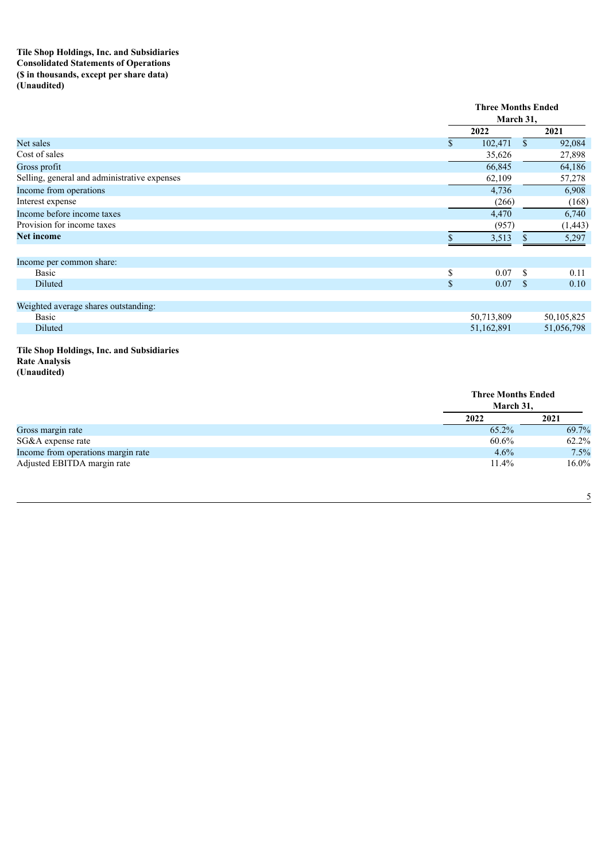#### Tile Shop Holdings, Inc. and Subsidiaries **Consolidated Statements of Operations** (\$ in thousands, except per share data) **( U n a u d i t e d )**

|                                              | <b>Three Months Ended</b>     |            |  |
|----------------------------------------------|-------------------------------|------------|--|
|                                              | March 31,                     |            |  |
|                                              | 2022                          | 2021       |  |
| Net sales                                    | \$<br>102,471<br>$\mathbb{S}$ | 92,084     |  |
| Cost of sales                                | 35,626                        | 27,898     |  |
| Gross profit                                 | 66,845                        | 64,186     |  |
| Selling, general and administrative expenses | 62,109                        | 57,278     |  |
| Income from operations                       | 4,736                         | 6,908      |  |
| Interest expense                             | (266)                         | (168)      |  |
| Income before income taxes                   | 4,470                         | 6,740      |  |
| Provision for income taxes                   | (957)                         | (1, 443)   |  |
| <b>Net income</b>                            | \$<br>3,513<br>\$             | 5,297      |  |
| Income per common share:                     |                               |            |  |
| <b>Basic</b>                                 | \$<br>0.07<br>S               | 0.11       |  |
| <b>Diluted</b>                               | \$<br>0.07<br><sup>\$</sup>   | 0.10       |  |
| Weighted average shares outstanding:         |                               |            |  |
| Basic                                        | 50,713,809                    | 50,105,825 |  |
| Diluted                                      | 51,162,891                    | 51,056,798 |  |
|                                              |                               |            |  |

#### Tile Shop Holdings, Inc. and Subsidiaries **Rate Analysis ( U n a u d i t e d )**

|                                    |          | <b>Three Months Ended</b><br>March 31, |  |  |
|------------------------------------|----------|----------------------------------------|--|--|
|                                    | 2022     | 2021                                   |  |  |
| Gross margin rate                  | $65.2\%$ | 69.7%                                  |  |  |
| SG&A expense rate                  | $60.6\%$ | 62.2%                                  |  |  |
| Income from operations margin rate | 4.6%     | 7.5%                                   |  |  |
| Adjusted EBITDA margin rate        | 11.4%    | $16.0\%$                               |  |  |
|                                    |          |                                        |  |  |